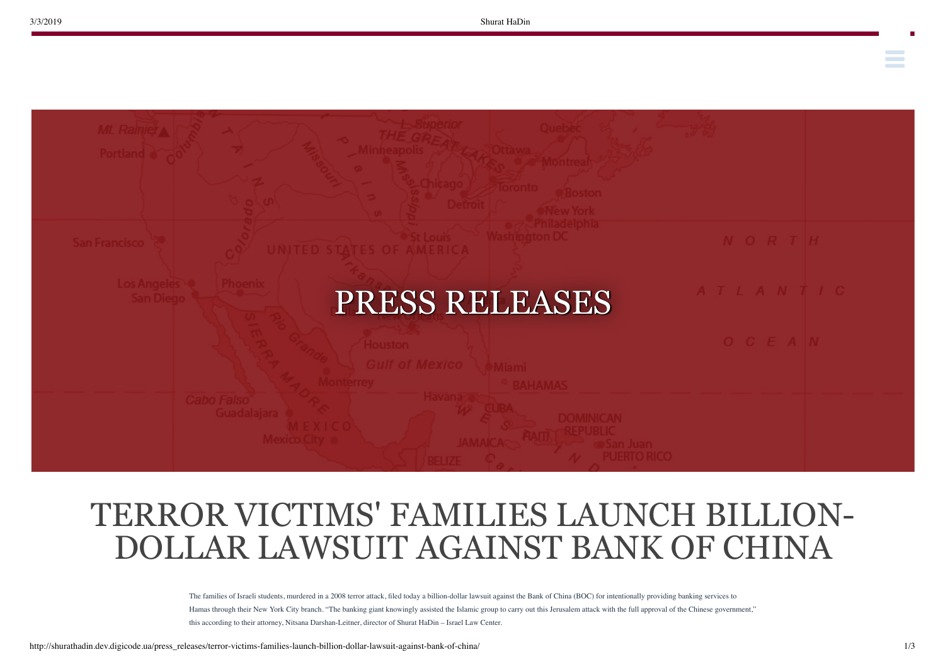**Contract Contract** 



## TERROR VICTIMS' FAMILIES LAUNCH BILLION-DOLLAR LAWSUIT AGAINST BANK OF CHINA

The families of Israeli students, murdered in a 2008 terror attack, filed today a billion-dollar lawsuit against the Bank of China (BOC) for intentionally providing banking services to Hamas through their New York City branch. "The banking giant knowingly assisted the Islamic group to carry out this Jerusalem attack with the full approval of the Chinese government," this according to their attorney, Nitsana Darshan-Leitner, director of Shurat HaDin – Israel Law Center.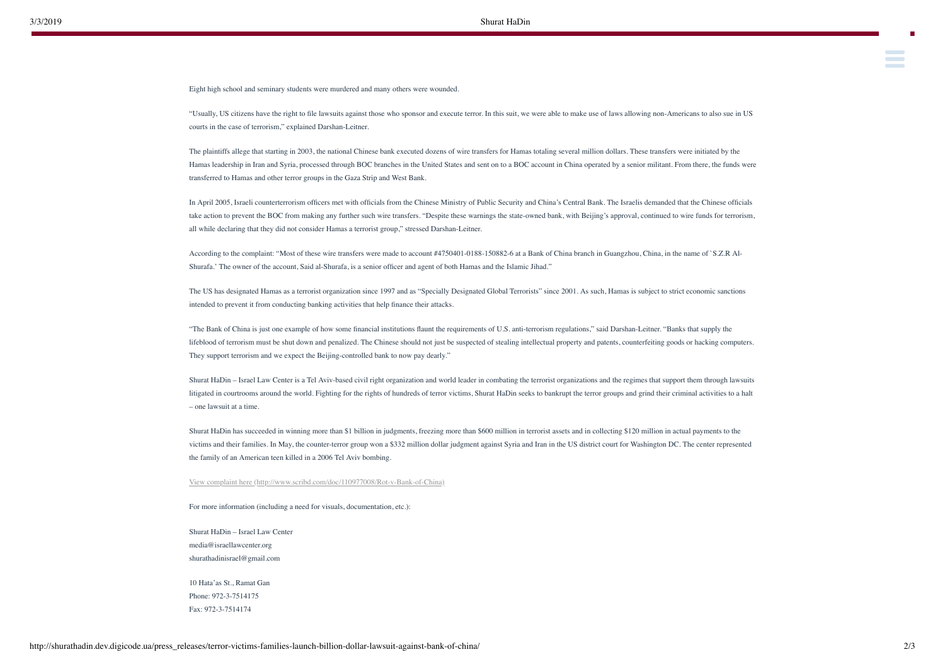Eight high school and seminary students were murdered and many others were wounded.

"Usually, US citizens have the right to file lawsuits against those who sponsor and execute terror. In this suit, we were able to make use of laws allowing non-Americans to also sue in US courts in the case of terrorism," explained Darshan-Leitner.

[The lawsuit, which was brought to the New York State Supreme Court, is on behalf of five families who lost loved ones in the shooting attack. The suit, Rot v. Bank of China](http://shurathadin.dev.digicode.ua/legal_action/rot-v-bank-of-china/)al of Chinaal of Chinaal of Chinaal of Chinaal of

The plaintiffs allege that starting in 2003, the national Chinese bank executed dozens of wire transfers for Hamas totaling several million dollars. These transfers were initiated by the Hamas leadership in Iran and Syria, processed through BOC branches in the United States and sent on to a BOC account in China operated by a senior militant. From there, the funds were transferred to Hamas and other terror groups in the Gaza Strip and West Bank.

In April 2005, Israeli counterterrorism officers met with officials from the Chinese Ministry of Public Security and China's Central Bank. The Israelis demanded that the Chinese officials take action to prevent the BOC from making any further such wire transfers. "Despite these warnings the state-owned bank, with Beijing's approval, continued to wire funds for terrorism, all while declaring that they did not consider Hamas a terrorist group," stressed Darshan-Leitner.

According to the complaint: "Most of these wire transfers were made to account #4750401-0188-150882-6 at a Bank of China branch in Guangzhou, China, in the name of `S.Z.R Al-Shurafa.' The owner of the account, Said al-Shurafa, is a senior officer and agent of both Hamas and the Islamic Jihad."

The US has designated Hamas as a terrorist organization since 1997 and as "Specially Designated Global Terrorists" since 2001. As such, Hamas is subject to strict economic sanctions intended to prevent it from conducting banking activities that help finance their attacks.

"The Bank of China is just one example of how some financial institutions flaunt the requirements of U.S. anti-terrorism regulations," said Darshan-Leitner. "Banks that supply the lifeblood of terrorism must be shut down and penalized. The Chinese should not just be suspected of stealing intellectual property and patents, counterfeiting goods or hacking computers. They support terrorism and we expect the Beijing-controlled bank to now pay dearly."

Shurat HaDin – Israel Law Center is a Tel Aviv-based civil right organization and world leader in combating the terrorist organizations and the regimes that support them through lawsuits litigated in courtrooms around the world. Fighting for the rights of hundreds of terror victims, Shurat HaDin seeks to bankrupt the terror groups and grind their criminal activities to a halt – one lawsuit at a time.

Shurat HaDin has succeeded in winning more than \$1 billion in judgments, freezing more than \$600 million in terrorist assets and in collecting \$120 million in actual payments to the victims and their families. In May, the counter-terror group won a \$332 million dollar judgment against Syria and Iran in the US district court for Washington DC. The center represented the family of an American teen killed in a 2006 Tel Aviv bombing.

[View complaint here \(http://www.scribd.com/doc/110977008/Rot-v-Bank-of-China\)](http://www.scribd.com/doc/110977008/Rot-v-Bank-of-China)

For more information (including a need for visuals, documentation, etc.):

Shurat HaDin – Israel Law Center media@israellawcenter.org shurathadinisrael@gmail.com

10 Hata'as St., Ramat Gan Phone: 972-3-7514175 Fax: 972-3-7514174